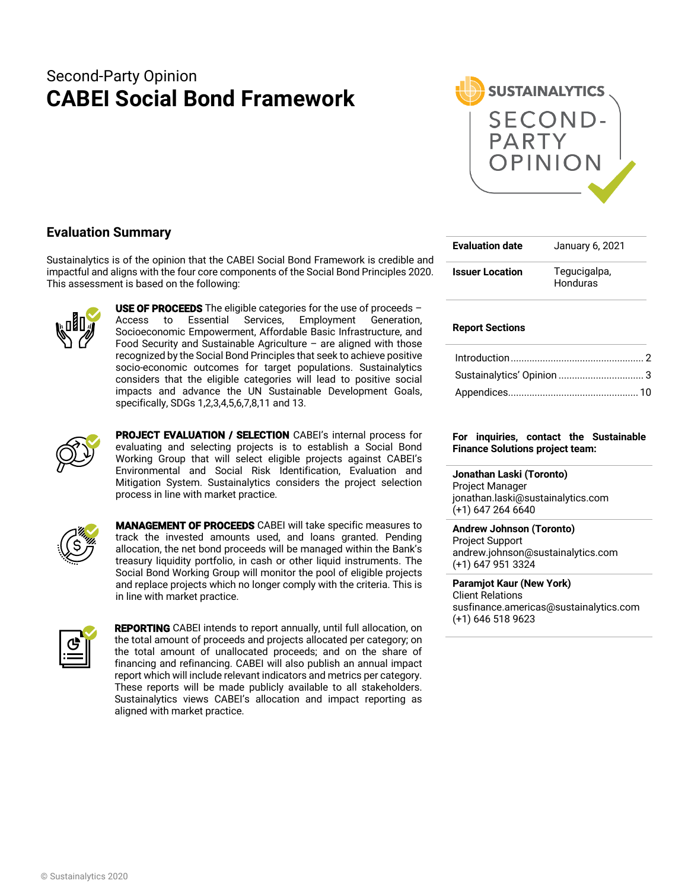# Second-Party Opinion **CABEI Social Bond Framework**



# **Evaluation Summary**

Sustainalytics is of the opinion that the CABEI Social Bond Framework is credible and impactful and aligns with the four core components of the Social Bond Principles 2020. This assessment is based on the following:



**USE OF PROCEEDS** The eligible categories for the use of proceeds  $-$ Access to Essential Services, Employment Generation, Socioeconomic Empowerment, Affordable Basic Infrastructure, and Food Security and Sustainable Agriculture  $-$  are aligned with those recognized by the Social Bond Principles that seek to achieve positive socio-economic outcomes for target populations. Sustainalytics considers that the eligible categories will lead to positive social impacts and advance the UN Sustainable Development Goals, specifically, SDGs 1,2,3,4,5,6,7,8,11 and 13.



PROJECT EVALUATION / SELECTION CABEI's internal process for evaluating and selecting projects is to establish a Social Bond Working Group that will select eligible projects against CABEI's Environmental and Social Risk Identification, Evaluation and Mitigation System. Sustainalytics considers the project selection process in line with market practice.



MANAGEMENT OF PROCEEDS CABEI will take specific measures to track the invested amounts used, and loans granted. Pending allocation, the net bond proceeds will be managed within the Bank's treasury liquidity portfolio, in cash or other liquid instruments. The Social Bond Working Group will monitor the pool of eligible projects and replace projects which no longer comply with the criteria. This is in line with market practice.



**REPORTING** CABEI intends to report annually, until full allocation, on the total amount of proceeds and projects allocated per category; on the total amount of unallocated proceeds; and on the share of financing and refinancing. CABEI will also publish an annual impact report which will include relevant indicators and metrics per category. These reports will be made publicly available to all stakeholders. Sustainalytics views CABEI's allocation and impact reporting as aligned with market practice.

| <b>Evaluation date</b> | January 6, 2021          |
|------------------------|--------------------------|
| <b>Issuer Location</b> | Tegucigalpa,<br>Honduras |

# **Report Sections**

# **For inquiries, contact the Sustainable Finance Solutions project team:**

#### **Jonathan Laski (Toronto)**

Project Manager jonathan.laski@sustainalytics.com (+1) 647 264 6640

#### **Andrew Johnson (Toronto)**

Project Support andrew.johnson@sustainalytics.com (+1) 647 951 3324

#### **Paramjot Kaur (New York)** Client Relations

susfinance.americas@sustainalytics.com (+1) 646 518 9623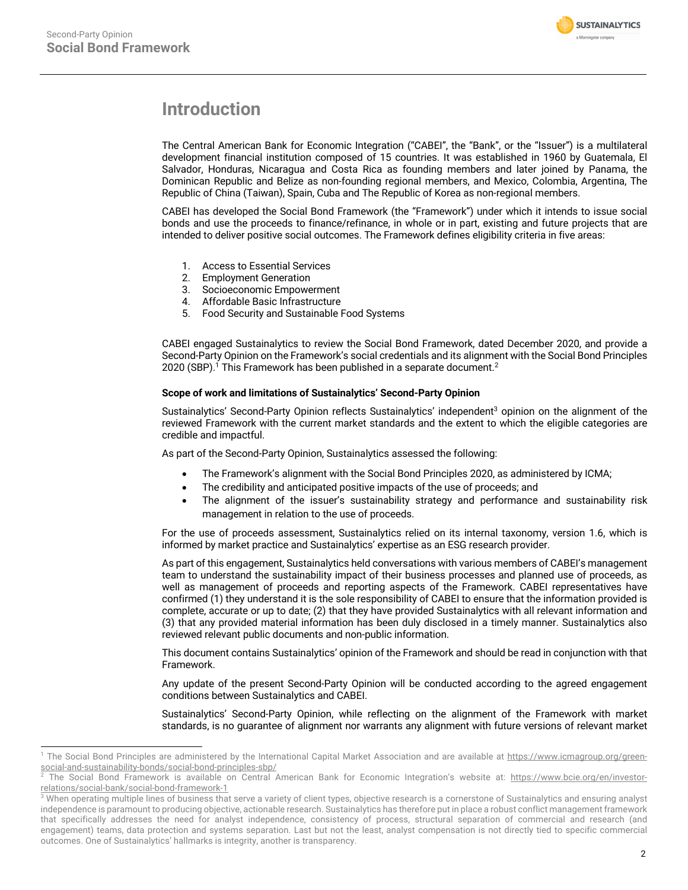

# **Introduction**

The Central American Bank for Economic Integration ("CABEI", the "Bank", or the "Issuer") is a multilateral development financial institution composed of 15 countries. It was established in 1960 by Guatemala, El Salvador, Honduras, Nicaragua and Costa Rica as founding members and later joined by Panama, the Dominican Republic and Belize as non-founding regional members, and Mexico, Colombia, Argentina, The Republic of China (Taiwan), Spain, Cuba and The Republic of Korea as non-regional members.

CABEI has developed the Social Bond Framework (the "Framework") under which it intends to issue social bonds and use the proceeds to finance/refinance, in whole or in part, existing and future projects that are intended to deliver positive social outcomes. The Framework defines eligibility criteria in five areas:

- 1. Access to Essential Services
- 2. Employment Generation
- 3. Socioeconomic Empowerment
- 4. Affordable Basic Infrastructure
- 5. Food Security and Sustainable Food Systems

CABEI engaged Sustainalytics to review the Social Bond Framework, dated December 2020, and provide a Second-Party Opinion on the Framework's social credentials and its alignment with the Social Bond Principles 2020 (SBP).<sup>1</sup> This Framework has been published in a separate document.<sup>2</sup>

# **Scope of work and limitations of Sustainalytics' Second-Party Opinion**

Sustainalytics' Second-Party Opinion reflects Sustainalytics' independent<sup>3</sup> opinion on the alignment of the reviewed Framework with the current market standards and the extent to which the eligible categories are credible and impactful.

As part of the Second-Party Opinion, Sustainalytics assessed the following:

- The Framework's alignment with the Social Bond Principles 2020, as administered by ICMA;
- The credibility and anticipated positive impacts of the use of proceeds; and
- The alignment of the issuer's sustainability strategy and performance and sustainability risk management in relation to the use of proceeds.

For the use of proceeds assessment, Sustainalytics relied on its internal taxonomy, version 1.6, which is informed by market practice and Sustainalytics' expertise as an ESG research provider.

As part of this engagement, Sustainalytics held conversations with various members of CABEI's management team to understand the sustainability impact of their business processes and planned use of proceeds, as well as management of proceeds and reporting aspects of the Framework. CABEI representatives have confirmed (1) they understand it is the sole responsibility of CABEI to ensure that the information provided is complete, accurate or up to date; (2) that they have provided Sustainalytics with all relevant information and (3) that any provided material information has been duly disclosed in a timely manner. Sustainalytics also reviewed relevant public documents and non-public information.

This document contains Sustainalytics' opinion of the Framework and should be read in conjunction with that Framework.

Any update of the present Second-Party Opinion will be conducted according to the agreed engagement conditions between Sustainalytics and CABEI.

Sustainalytics' Second-Party Opinion, while reflecting on the alignment of the Framework with market standards, is no guarantee of alignment nor warrants any alignment with future versions of relevant market

<sup>&</sup>lt;sup>1</sup> The Social Bond Principles are administered by the International Capital Market Association and are available at https://www.icmagroup.org/greensocial-and-sustainability-bonds/social-bond-principles-sbp/

<sup>2</sup> The Social Bond Framework is available on Central American Bank for Economic Integration's website at: https://www.bcie.org/en/investorrelations/social-bank/social-bond-framework-1

<sup>&</sup>lt;sup>3</sup> When operating multiple lines of business that serve a variety of client types, objective research is a cornerstone of Sustainalytics and ensuring analyst independence is paramount to producing objective, actionable research. Sustainalytics has therefore put in place a robust conflict management framework that specifically addresses the need for analyst independence, consistency of process, structural separation of commercial and research (and engagement) teams, data protection and systems separation. Last but not the least, analyst compensation is not directly tied to specific commercial outcomes. One of Sustainalytics' hallmarks is integrity, another is transparency.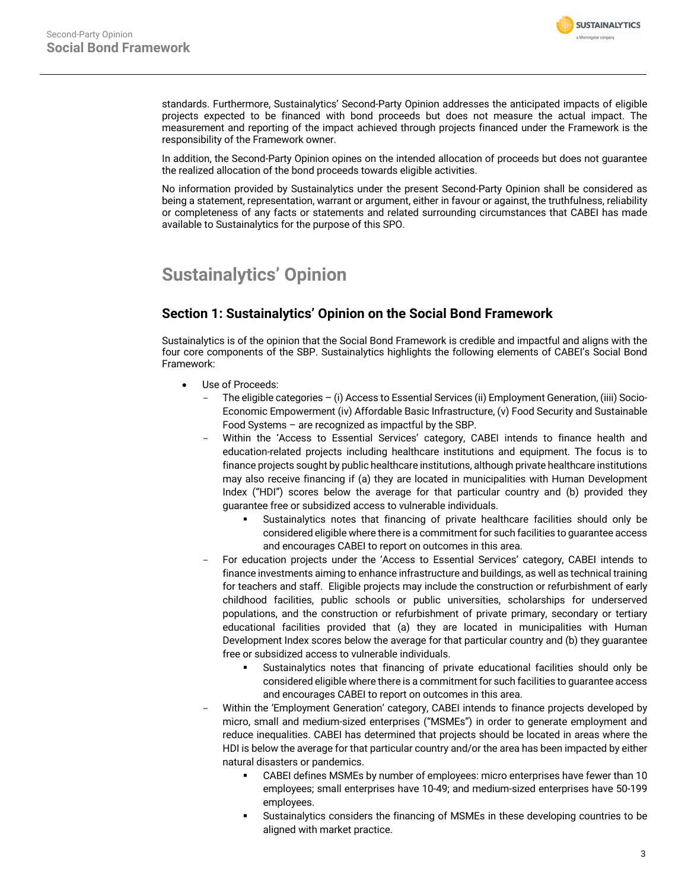

standards. Furthermore, Sustainalytics' Second-Party Opinion addresses the anticipated impacts of eligible projects expected to be financed with bond proceeds but does not measure the actual impact. The measurement and reporting of the impact achieved through projects financed under the Framework is the responsibility of the Framework owner.

In addition, the Second-Party Opinion opines on the intended allocation of proceeds but does not guarantee the realized allocation of the bond proceeds towards eligible activities.

No information provided by Sustainalytics under the present Second-Party Opinion shall be considered as being a statement, representation, warrant or argument, either in favour or against, the truthfulness, reliability or completeness of any facts or statements and related surrounding circumstances that CABEI has made available to Sustainalytics for the purpose of this SPO.

# **Sustainalytics' Opinion**

# **Section 1: Sustainalytics' Opinion on the Social Bond Framework**

Sustainalytics is of the opinion that the Social Bond Framework is credible and impactful and aligns with the four core components of the SBP. Sustainalytics highlights the following elements of CABEI's Social Bond Framework:

- Use of Proceeds:
	- The eligible categories (i) Access to Essential Services (ii) Employment Generation, (iiii) Socio-Economic Empowerment (iv) Affordable Basic Infrastructure, (v) Food Security and Sustainable Food Systems – are recognized as impactful by the SBP.
	- Within the 'Access to Essential Services' category, CABEI intends to finance health and education-related projects including healthcare institutions and equipment. The focus is to finance projects sought by public healthcare institutions, although private healthcare institutions may also receive financing if (a) they are located in municipalities with Human Development Index ("HDI") scores below the average for that particular country and (b) provided they guarantee free or subsidized access to vulnerable individuals.
		- § Sustainalytics notes that financing of private healthcare facilities should only be considered eligible where there is a commitment for such facilities to guarantee access and encourages CABEI to report on outcomes in this area.
	- For education projects under the 'Access to Essential Services' category, CABEI intends to finance investments aiming to enhance infrastructure and buildings, as well as technical training for teachers and staff. Eligible projects may include the construction or refurbishment of early childhood facilities, public schools or public universities, scholarships for underserved populations, and the construction or refurbishment of private primary, secondary or tertiary educational facilities provided that (a) they are located in municipalities with Human Development Index scores below the average for that particular country and (b) they guarantee free or subsidized access to vulnerable individuals.
		- § Sustainalytics notes that financing of private educational facilities should only be considered eligible where there is a commitment for such facilities to guarantee access and encourages CABEI to report on outcomes in this area.
	- Within the 'Employment Generation' category, CABEI intends to finance projects developed by micro, small and medium-sized enterprises ("MSMEs") in order to generate employment and reduce inequalities. CABEI has determined that projects should be located in areas where the HDI is below the average for that particular country and/or the area has been impacted by either natural disasters or pandemics.
		- § CABEI defines MSMEs by number of employees: micro enterprises have fewer than 10 employees; small enterprises have 10-49; and medium-sized enterprises have 50-199 employees.
		- § Sustainalytics considers the financing of MSMEs in these developing countries to be aligned with market practice.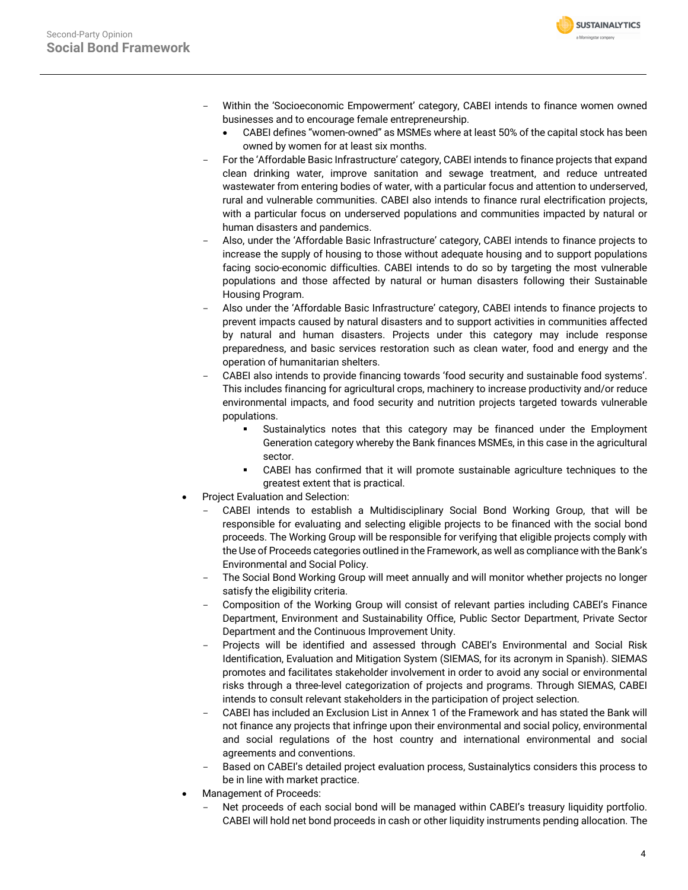

- Within the 'Socioeconomic Empowerment' category, CABEI intends to finance women owned businesses and to encourage female entrepreneurship.
	- CABEI defines "women-owned" as MSMEs where at least 50% of the capital stock has been owned by women for at least six months.
- For the 'Affordable Basic Infrastructure' category, CABEI intends to finance projects that expand clean drinking water, improve sanitation and sewage treatment, and reduce untreated wastewater from entering bodies of water, with a particular focus and attention to underserved, rural and vulnerable communities. CABEI also intends to finance rural electrification projects, with a particular focus on underserved populations and communities impacted by natural or human disasters and pandemics.
- Also, under the 'Affordable Basic Infrastructure' category, CABEI intends to finance projects to increase the supply of housing to those without adequate housing and to support populations facing socio-economic difficulties. CABEI intends to do so by targeting the most vulnerable populations and those affected by natural or human disasters following their Sustainable Housing Program.
- Also under the 'Affordable Basic Infrastructure' category, CABEI intends to finance projects to prevent impacts caused by natural disasters and to support activities in communities affected by natural and human disasters. Projects under this category may include response preparedness, and basic services restoration such as clean water, food and energy and the operation of humanitarian shelters.
- CABEI also intends to provide financing towards 'food security and sustainable food systems'. This includes financing for agricultural crops, machinery to increase productivity and/or reduce environmental impacts, and food security and nutrition projects targeted towards vulnerable populations.
	- § Sustainalytics notes that this category may be financed under the Employment Generation category whereby the Bank finances MSMEs, in this case in the agricultural sector.
	- § CABEI has confirmed that it will promote sustainable agriculture techniques to the greatest extent that is practical.
- Project Evaluation and Selection:
	- CABEI intends to establish a Multidisciplinary Social Bond Working Group, that will be responsible for evaluating and selecting eligible projects to be financed with the social bond proceeds. The Working Group will be responsible for verifying that eligible projects comply with the Use of Proceeds categories outlined in the Framework, as well as compliance with the Bank's Environmental and Social Policy.
	- The Social Bond Working Group will meet annually and will monitor whether projects no longer satisfy the eligibility criteria.
	- Composition of the Working Group will consist of relevant parties including CABEI's Finance Department, Environment and Sustainability Office, Public Sector Department, Private Sector Department and the Continuous Improvement Unity.
	- Projects will be identified and assessed through CABEI's Environmental and Social Risk Identification, Evaluation and Mitigation System (SIEMAS, for its acronym in Spanish). SIEMAS promotes and facilitates stakeholder involvement in order to avoid any social or environmental risks through a three-level categorization of projects and programs. Through SIEMAS, CABEI intends to consult relevant stakeholders in the participation of project selection.
	- CABEI has included an Exclusion List in Annex 1 of the Framework and has stated the Bank will not finance any projects that infringe upon their environmental and social policy, environmental and social regulations of the host country and international environmental and social agreements and conventions.
	- Based on CABEI's detailed project evaluation process, Sustainalytics considers this process to be in line with market practice.
- Management of Proceeds:
	- Net proceeds of each social bond will be managed within CABEI's treasury liquidity portfolio. CABEI will hold net bond proceeds in cash or other liquidity instruments pending allocation. The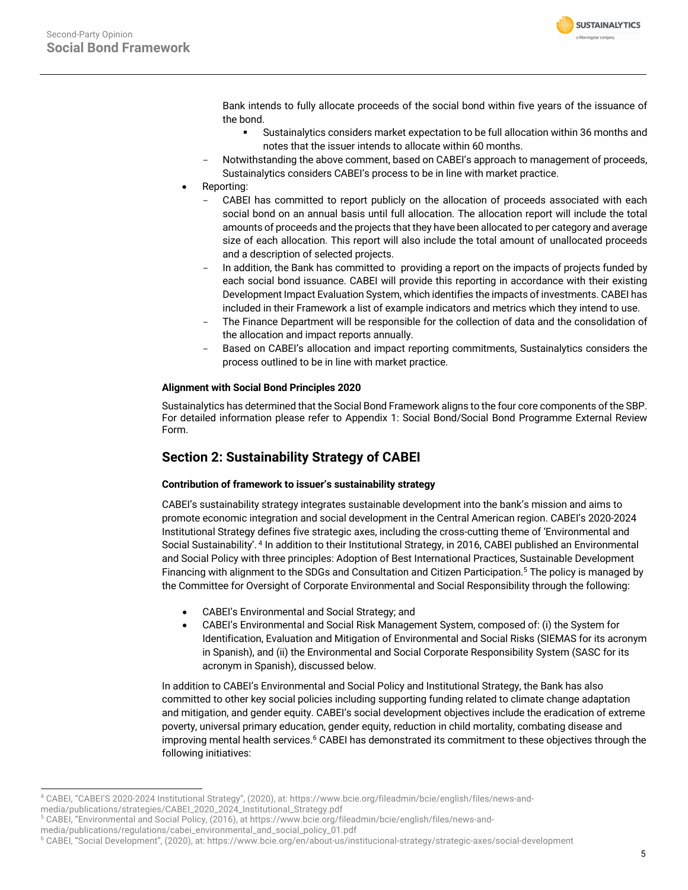

Bank intends to fully allocate proceeds of the social bond within five years of the issuance of the bond.

- § Sustainalytics considers market expectation to be full allocation within 36 months and notes that the issuer intends to allocate within 60 months.
- Notwithstanding the above comment, based on CABEI's approach to management of proceeds, Sustainalytics considers CABEI's process to be in line with market practice.
- Reporting:
	- CABEI has committed to report publicly on the allocation of proceeds associated with each social bond on an annual basis until full allocation. The allocation report will include the total amounts of proceeds and the projects that they have been allocated to per category and average size of each allocation. This report will also include the total amount of unallocated proceeds and a description of selected projects.
	- In addition, the Bank has committed to providing a report on the impacts of projects funded by each social bond issuance. CABEI will provide this reporting in accordance with their existing Development Impact Evaluation System, which identifies the impacts of investments. CABEI has included in their Framework a list of example indicators and metrics which they intend to use.
	- The Finance Department will be responsible for the collection of data and the consolidation of the allocation and impact reports annually.
	- Based on CABEI's allocation and impact reporting commitments, Sustainalytics considers the process outlined to be in line with market practice.

# **Alignment with Social Bond Principles 2020**

Sustainalytics has determined that the Social Bond Framework aligns to the four core components of the SBP. For detailed information please refer to Appendix 1: Social Bond/Social Bond Programme External Review Form.

# **Section 2: Sustainability Strategy of CABEI**

# **Contribution of framework to issuer's sustainability strategy**

CABEI's sustainability strategy integrates sustainable development into the bank's mission and aims to promote economic integration and social development in the Central American region. CABEI's 2020-2024 Institutional Strategy defines five strategic axes, including the cross-cutting theme of 'Environmental and Social Sustainability'. <sup>4</sup> In addition to their Institutional Strategy, in 2016, CABEI published an Environmental and Social Policy with three principles: Adoption of Best International Practices, Sustainable Development Financing with alignment to the SDGs and Consultation and Citizen Participation. <sup>5</sup> The policy is managed by the Committee for Oversight of Corporate Environmental and Social Responsibility through the following:

- CABEI's Environmental and Social Strategy; and
- CABEI's Environmental and Social Risk Management System, composed of: (i) the System for Identification, Evaluation and Mitigation of Environmental and Social Risks (SIEMAS for its acronym in Spanish), and (ii) the Environmental and Social Corporate Responsibility System (SASC for its acronym in Spanish), discussed below.

In addition to CABEI's Environmental and Social Policy and Institutional Strategy, the Bank has also committed to other key social policies including supporting funding related to climate change adaptation and mitigation, and gender equity. CABEI's social development objectives include the eradication of extreme poverty, universal primary education, gender equity, reduction in child mortality, combating disease and improving mental health services.<sup>6</sup> CABEI has demonstrated its commitment to these objectives through the following initiatives:

<sup>4</sup> CABEI, "CABEI'S 2020-2024 Institutional Strategy", (2020), at: https://www.bcie.org/fileadmin/bcie/english/files/news-and-

media/publications/strategies/CABEI\_2020\_2024\_Institutional\_Strategy.pdf

<sup>5</sup> CABEI, "Environmental and Social Policy, (2016), at https://www.bcie.org/fileadmin/bcie/english/files/news-and-

media/publications/regulations/cabei\_environmental\_and\_social\_policy\_01.pdf

<sup>6</sup> CABEI, "Social Development", (2020), at: https://www.bcie.org/en/about-us/institucional-strategy/strategic-axes/social-development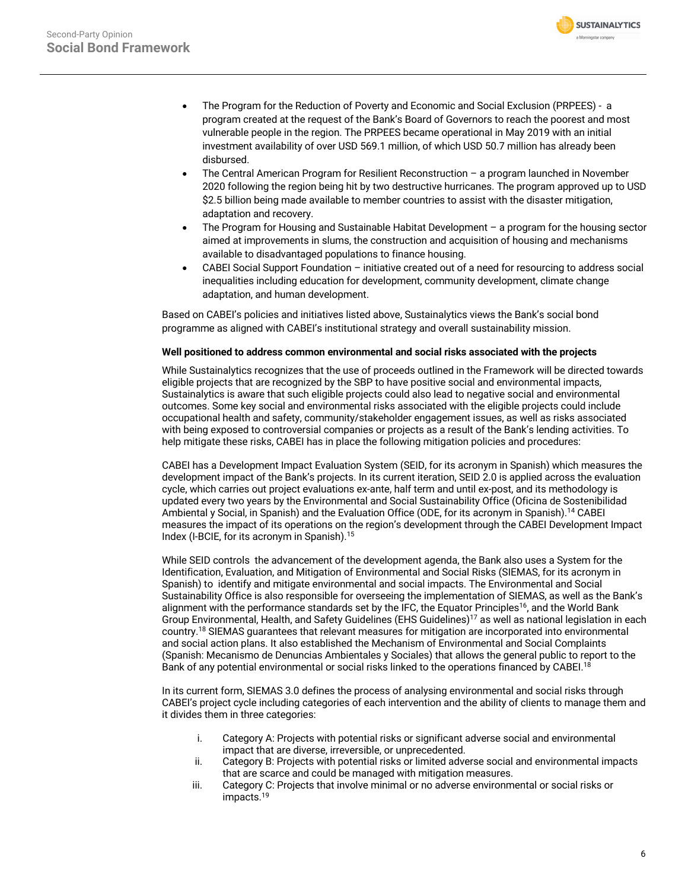

- The Program for the Reduction of Poverty and Economic and Social Exclusion (PRPEES) a program created at the request of the Bank's Board of Governors to reach the poorest and most vulnerable people in the region. The PRPEES became operational in May 2019 with an initial investment availability of over USD 569.1 million, of which USD 50.7 million has already been disbursed.
- The Central American Program for Resilient Reconstruction a program launched in November 2020 following the region being hit by two destructive hurricanes. The program approved up to USD \$2.5 billion being made available to member countries to assist with the disaster mitigation, adaptation and recovery.
- The Program for Housing and Sustainable Habitat Development a program for the housing sector aimed at improvements in slums, the construction and acquisition of housing and mechanisms available to disadvantaged populations to finance housing.
- CABEI Social Support Foundation initiative created out of a need for resourcing to address social inequalities including education for development, community development, climate change adaptation, and human development.

Based on CABEI's policies and initiatives listed above, Sustainalytics views the Bank's social bond programme as aligned with CABEI's institutional strategy and overall sustainability mission.

# **Well positioned to address common environmental and social risks associated with the projects**

While Sustainalytics recognizes that the use of proceeds outlined in the Framework will be directed towards eligible projects that are recognized by the SBP to have positive social and environmental impacts, Sustainalytics is aware that such eligible projects could also lead to negative social and environmental outcomes. Some key social and environmental risks associated with the eligible projects could include occupational health and safety, community/stakeholder engagement issues, as well as risks associated with being exposed to controversial companies or projects as a result of the Bank's lending activities. To help mitigate these risks, CABEI has in place the following mitigation policies and procedures:

CABEI has a Development Impact Evaluation System (SEID, for its acronym in Spanish) which measures the development impact of the Bank's projects. In its current iteration, SEID 2.0 is applied across the evaluation cycle, which carries out project evaluations ex-ante, half term and until ex-post, and its methodology is updated every two years by the Environmental and Social Sustainability Office (Oficina de Sostenibilidad Ambiental y Social, in Spanish) and the Evaluation Office (ODE, for its acronym in Spanish).14 CABEI measures the impact of its operations on the region's development through the CABEI Development Impact Index (I-BCIE, for its acronym in Spanish).15

While SEID controls the advancement of the development agenda, the Bank also uses a System for the Identification, Evaluation, and Mitigation of Environmental and Social Risks (SIEMAS, for its acronym in Spanish) to identify and mitigate environmental and social impacts. The Environmental and Social Sustainability Office is also responsible for overseeing the implementation of SIEMAS, as well as the Bank's alignment with the performance standards set by the IFC, the Equator Principles<sup>16</sup>, and the World Bank Group Environmental, Health, and Safety Guidelines (EHS Guidelines)<sup>17</sup> as well as national legislation in each country.18 SIEMAS guarantees that relevant measures for mitigation are incorporated into environmental and social action plans. It also established the Mechanism of Environmental and Social Complaints (Spanish: Mecanismo de Denuncias Ambientales y Sociales) that allows the general public to report to the Bank of any potential environmental or social risks linked to the operations financed by CABEI.<sup>18</sup>

In its current form, SIEMAS 3.0 defines the process of analysing environmental and social risks through CABEI's project cycle including categories of each intervention and the ability of clients to manage them and it divides them in three categories:

- i. Category A: Projects with potential risks or significant adverse social and environmental impact that are diverse, irreversible, or unprecedented.
- ii. Category B: Projects with potential risks or limited adverse social and environmental impacts that are scarce and could be managed with mitigation measures.
- iii. Category C: Projects that involve minimal or no adverse environmental or social risks or impacts.<sup>19</sup>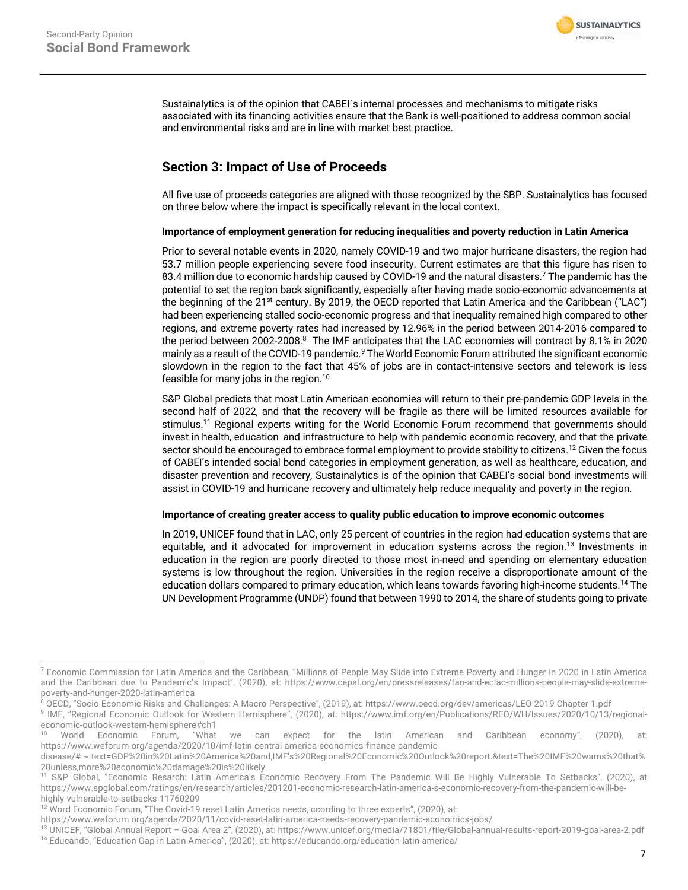

Sustainalytics is of the opinion that CABEI´s internal processes and mechanisms to mitigate risks associated with its financing activities ensure that the Bank is well-positioned to address common social and environmental risks and are in line with market best practice.

# **Section 3: Impact of Use of Proceeds**

All five use of proceeds categories are aligned with those recognized by the SBP. Sustainalytics has focused on three below where the impact is specifically relevant in the local context.

# **Importance of employment generation for reducing inequalities and poverty reduction in Latin America**

Prior to several notable events in 2020, namely COVID-19 and two major hurricane disasters, the region had 53.7 million people experiencing severe food insecurity. Current estimates are that this figure has risen to 83.4 million due to economic hardship caused by COVID-19 and the natural disasters.<sup>7</sup> The pandemic has the potential to set the region back significantly, especially after having made socio-economic advancements at the beginning of the 21<sup>st</sup> century. By 2019, the OECD reported that Latin America and the Caribbean ("LAC") had been experiencing stalled socio-economic progress and that inequality remained high compared to other regions, and extreme poverty rates had increased by 12.96% in the period between 2014-2016 compared to the period between 2002-2008. <sup>8</sup> The IMF anticipates that the LAC economies will contract by 8.1% in 2020 mainly as a result of the COVID-19 pandemic.9 The World Economic Forum attributed the significant economic slowdown in the region to the fact that 45% of jobs are in contact-intensive sectors and telework is less feasible for many jobs in the region. 10

S&P Global predicts that most Latin American economies will return to their pre-pandemic GDP levels in the second half of 2022, and that the recovery will be fragile as there will be limited resources available for stimulus.<sup>11</sup> Regional experts writing for the World Economic Forum recommend that governments should invest in health, education and infrastructure to help with pandemic economic recovery, and that the private sector should be encouraged to embrace formal employment to provide stability to citizens.<sup>12</sup> Given the focus of CABEI's intended social bond categories in employment generation, as well as healthcare, education, and disaster prevention and recovery, Sustainalytics is of the opinion that CABEI's social bond investments will assist in COVID-19 and hurricane recovery and ultimately help reduce inequality and poverty in the region.

# **Importance of creating greater access to quality public education to improve economic outcomes**

In 2019, UNICEF found that in LAC, only 25 percent of countries in the region had education systems that are equitable, and it advocated for improvement in education systems across the region.<sup>13</sup> Investments in education in the region are poorly directed to those most in-need and spending on elementary education systems is low throughout the region. Universities in the region receive a disproportionate amount of the education dollars compared to primary education, which leans towards favoring high-income students.14 The UN Development Programme (UNDP) found that between 1990 to 2014, the share of students going to private

 $<sup>7</sup>$  Economic Commission for Latin America and the Caribbean, "Millions of People May Slide into Extreme Poverty and Hunger in 2020 in Latin America</sup> and the Caribbean due to Pandemic's Impact", (2020), at: https://www.cepal.org/en/pressreleases/fao-and-eclac-millions-people-may-slide-extremepoverty-and-hunger-2020-latin-america

<sup>8</sup> OECD, "Socio-Economic Risks and Challanges: A Macro-Perspective", (2019), at: https://www.oecd.org/dev/americas/LEO-2019-Chapter-1.pdf

<sup>9</sup> IMF, "Regional Economic Outlook for Western Hemisphere", (2020), at: https://www.imf.org/en/Publications/REO/WH/Issues/2020/10/13/regionaleconomic-outlook-western-hemisphere#ch1<br><sup>10</sup> World Economic Forum, "What

<sup>10</sup> World Economic Forum, "What we can expect for the latin American and Caribbean economy", (2020), at: https://www.weforum.org/agenda/2020/10/imf-latin-central-america-economics-finance-pandemic-

disease/#:~:text=GDP%20in%20Latin%20America%20and,IMF's%20Regional%20Economic%20Outlook%20report.&text=The%20IMF%20warns%20that% 20unless,more%20economic%20damage%20is%20likely.

S&P Global, "Economic Resarch: Latin America's Economic Recovery From The Pandemic Will Be Highly Vulnerable To Setbacks", (2020), at https://www.spglobal.com/ratings/en/research/articles/201201-economic-research-latin-america-s-economic-recovery-from-the-pandemic-will-behighly-vulnerable-to-setbacks-11760209

<sup>&</sup>lt;sup>12</sup> Word Economic Forum, "The Covid-19 reset Latin America needs, ccording to three experts", (2020), at:

https://www.weforum.org/agenda/2020/11/covid-reset-latin-america-needs-recovery-pandemic-economics-jobs/

<sup>13</sup> UNICEF, "Global Annual Report – Goal Area 2", (2020), at: https://www.unicef.org/media/71801/file/Global-annual-results-report-2019-goal-area-2.pdf <sup>14</sup> Educando, "Education Gap in Latin America", (2020), at: https://educando.org/education-latin-america/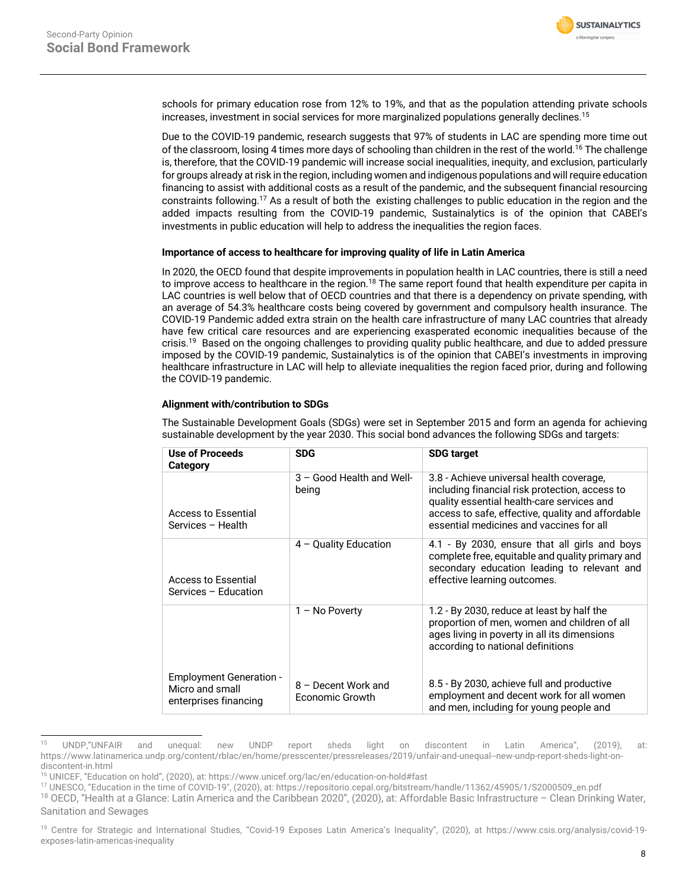

schools for primary education rose from 12% to 19%, and that as the population attending private schools increases, investment in social services for more marginalized populations generally declines.<sup>15</sup>

Due to the COVID-19 pandemic, research suggests that 97% of students in LAC are spending more time out of the classroom, losing 4 times more days of schooling than children in the rest of the world.<sup>16</sup> The challenge is, therefore, that the COVID-19 pandemic will increase social inequalities, inequity, and exclusion, particularly for groups already at risk in the region, including women and indigenous populations and will require education financing to assist with additional costs as a result of the pandemic, and the subsequent financial resourcing constraints following.17 As a result of both the existing challenges to public education in the region and the added impacts resulting from the COVID-19 pandemic, Sustainalytics is of the opinion that CABEI's investments in public education will help to address the inequalities the region faces.

## **Importance of access to healthcare for improving quality of life in Latin America**

In 2020, the OECD found that despite improvements in population health in LAC countries, there is still a need to improve access to healthcare in the region.<sup>18</sup> The same report found that health expenditure per capita in LAC countries is well below that of OECD countries and that there is a dependency on private spending, with an average of 54.3% healthcare costs being covered by government and compulsory health insurance. The COVID-19 Pandemic added extra strain on the health care infrastructure of many LAC countries that already have few critical care resources and are experiencing exasperated economic inequalities because of the crisis.19 Based on the ongoing challenges to providing quality public healthcare, and due to added pressure imposed by the COVID-19 pandemic, Sustainalytics is of the opinion that CABEI's investments in improving healthcare infrastructure in LAC will help to alleviate inequalities the region faced prior, during and following the COVID-19 pandemic.

# **Alignment with/contribution to SDGs**

The Sustainable Development Goals (SDGs) were set in September 2015 and form an agenda for achieving sustainable development by the year 2030. This social bond advances the following SDGs and targets:

| Use of Proceeds<br>Category                                                | <b>SDG</b>                             | <b>SDG target</b>                                                                                                                                                                                                                         |
|----------------------------------------------------------------------------|----------------------------------------|-------------------------------------------------------------------------------------------------------------------------------------------------------------------------------------------------------------------------------------------|
| Access to Essential<br>Services - Health                                   | 3 - Good Health and Well-<br>being     | 3.8 - Achieve universal health coverage,<br>including financial risk protection, access to<br>quality essential health-care services and<br>access to safe, effective, quality and affordable<br>essential medicines and vaccines for all |
| Access to Essential<br>Services - Education                                | $4 -$ Quality Education                | 4.1 - By 2030, ensure that all girls and boys<br>complete free, equitable and quality primary and<br>secondary education leading to relevant and<br>effective learning outcomes.                                                          |
|                                                                            | $1 - No Power$                         | 1.2 - By 2030, reduce at least by half the<br>proportion of men, women and children of all<br>ages living in poverty in all its dimensions<br>according to national definitions                                                           |
| <b>Employment Generation -</b><br>Micro and small<br>enterprises financing | 8 - Decent Work and<br>Economic Growth | 8.5 - By 2030, achieve full and productive<br>employment and decent work for all women<br>and men, including for young people and                                                                                                         |

<sup>15</sup> UNDP,"UNFAIR and unequal: new UNDP report sheds light on discontent in Latin America", (2019), at: https://www.latinamerica.undp.org/content/rblac/en/home/presscenter/pressreleases/2019/unfair-and-unequal--new-undp-report-sheds-light-ondiscontent-in.html

<sup>16</sup> UNICEF, "Education on hold", (2020), at: https://www.unicef.org/lac/en/education-on-hold#fast

<sup>17</sup> UNESCO, "Education in the time of COVID-19", (2020), at: https://repositorio.cepal.org/bitstream/handle/11362/45905/1/S2000509\_en.pdf

<sup>&</sup>lt;sup>18</sup> OECD, "Health at a Glance: Latin America and the Caribbean 2020", (2020), at: Affordable Basic Infrastructure - Clean Drinking Water, Sanitation and Sewages

<sup>&</sup>lt;sup>19</sup> Centre for Strategic and International Studies, "Covid-19 Exposes Latin America's Inequality", (2020), at https://www.csis.org/analysis/covid-19exposes-latin-americas-inequality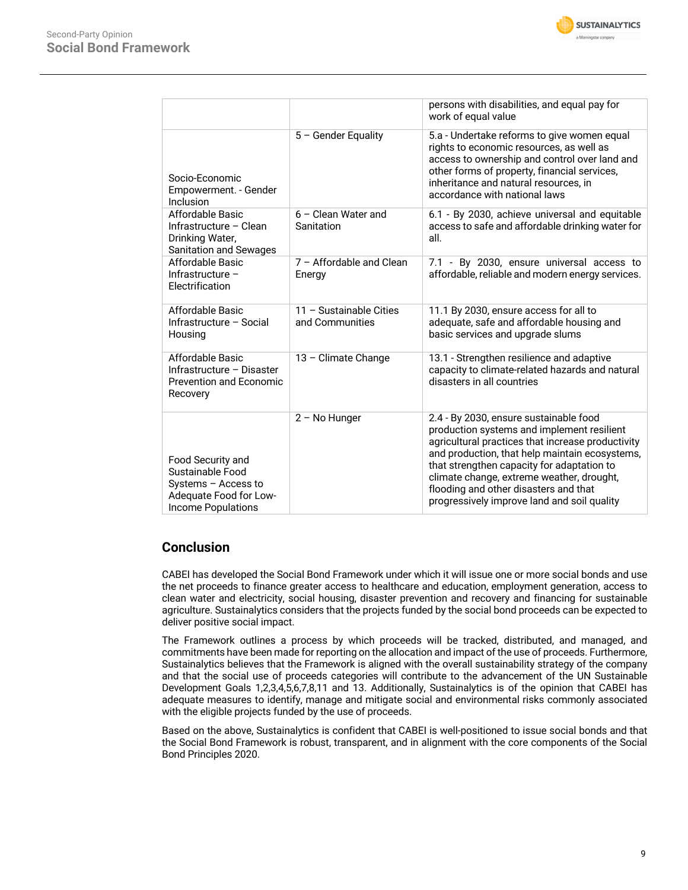

|                                                                                                                     |                                            | persons with disabilities, and equal pay for<br>work of equal value                                                                                                                                                                                                                                                                                                            |
|---------------------------------------------------------------------------------------------------------------------|--------------------------------------------|--------------------------------------------------------------------------------------------------------------------------------------------------------------------------------------------------------------------------------------------------------------------------------------------------------------------------------------------------------------------------------|
| Socio-Economic<br>Empowerment. - Gender<br>Inclusion                                                                | 5 - Gender Equality                        | 5.a - Undertake reforms to give women equal<br>rights to economic resources, as well as<br>access to ownership and control over land and<br>other forms of property, financial services,<br>inheritance and natural resources, in<br>accordance with national laws                                                                                                             |
| Affordable Basic<br>Infrastructure - Clean<br>Drinking Water,<br><b>Sanitation and Sewages</b>                      | 6 - Clean Water and<br>Sanitation          | 6.1 - By 2030, achieve universal and equitable<br>access to safe and affordable drinking water for<br>all.                                                                                                                                                                                                                                                                     |
| Affordable Basic<br>Infrastructure -<br>Electrification                                                             | 7 - Affordable and Clean<br>Energy         | 7.1 - By 2030, ensure universal access to<br>affordable, reliable and modern energy services.                                                                                                                                                                                                                                                                                  |
| Affordable Basic<br>Infrastructure - Social<br>Housing                                                              | 11 - Sustainable Cities<br>and Communities | 11.1 By 2030, ensure access for all to<br>adequate, safe and affordable housing and<br>basic services and upgrade slums                                                                                                                                                                                                                                                        |
| Affordable Basic<br>Infrastructure - Disaster<br><b>Prevention and Economic</b><br>Recovery                         | 13 - Climate Change                        | 13.1 - Strengthen resilience and adaptive<br>capacity to climate-related hazards and natural<br>disasters in all countries                                                                                                                                                                                                                                                     |
| Food Security and<br>Sustainable Food<br>Systems - Access to<br>Adequate Food for Low-<br><b>Income Populations</b> | $2 - No Hunger$                            | 2.4 - By 2030, ensure sustainable food<br>production systems and implement resilient<br>agricultural practices that increase productivity<br>and production, that help maintain ecosystems,<br>that strengthen capacity for adaptation to<br>climate change, extreme weather, drought,<br>flooding and other disasters and that<br>progressively improve land and soil quality |

# **Conclusion**

CABEI has developed the Social Bond Framework under which it will issue one or more social bonds and use the net proceeds to finance greater access to healthcare and education, employment generation, access to clean water and electricity, social housing, disaster prevention and recovery and financing for sustainable agriculture. Sustainalytics considers that the projects funded by the social bond proceeds can be expected to deliver positive social impact.

The Framework outlines a process by which proceeds will be tracked, distributed, and managed, and commitments have been made for reporting on the allocation and impact of the use of proceeds. Furthermore, Sustainalytics believes that the Framework is aligned with the overall sustainability strategy of the company and that the social use of proceeds categories will contribute to the advancement of the UN Sustainable Development Goals 1,2,3,4,5,6,7,8,11 and 13. Additionally, Sustainalytics is of the opinion that CABEI has adequate measures to identify, manage and mitigate social and environmental risks commonly associated with the eligible projects funded by the use of proceeds.

Based on the above, Sustainalytics is confident that CABEI is well-positioned to issue social bonds and that the Social Bond Framework is robust, transparent, and in alignment with the core components of the Social Bond Principles 2020.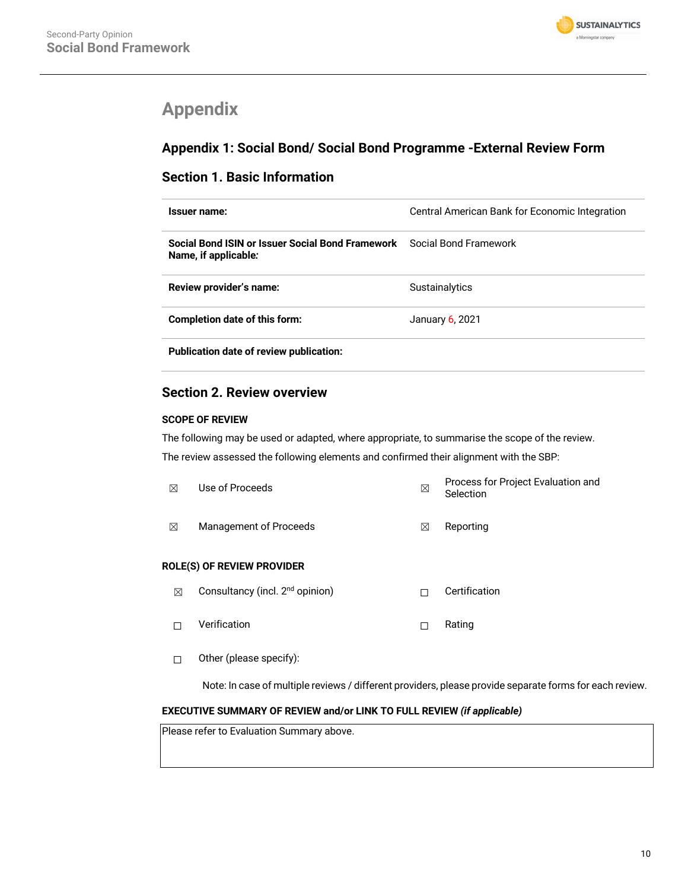

# **Appendix**

# **Appendix 1: Social Bond/ Social Bond Programme -External Review Form**

# **Section 1. Basic Information**

| Issuer name:                                                             | Central American Bank for Economic Integration |
|--------------------------------------------------------------------------|------------------------------------------------|
| Social Bond ISIN or Issuer Social Bond Framework<br>Name, if applicable: | Social Bond Framework                          |
| Review provider's name:                                                  | <b>Sustainalytics</b>                          |
| <b>Completion date of this form:</b>                                     | January 6, 2021                                |
| <b>Publication date of review publication:</b>                           |                                                |

# **Section 2. Review overview**

# **SCOPE OF REVIEW**

The following may be used or adapted, where appropriate, to summarise the scope of the review. The review assessed the following elements and confirmed their alignment with the SBP:

| ⊠                        | Use of Proceeds                             | ⊠ | Process for Project Evaluation and<br>Selection |
|--------------------------|---------------------------------------------|---|-------------------------------------------------|
| $\boxtimes$              | Management of Proceeds                      | ⊠ | Reporting                                       |
|                          | ROLE(S) OF REVIEW PROVIDER                  |   |                                                 |
| ⊠                        | Consultancy (incl. 2 <sup>nd</sup> opinion) | П | Certification                                   |
| П                        | Verification                                | П | Rating                                          |
| $\overline{\phantom{a}}$ | Other (please specify):                     |   |                                                 |

Note: In case of multiple reviews / different providers, please provide separate forms for each review.

# **EXECUTIVE SUMMARY OF REVIEW and/or LINK TO FULL REVIEW** *(if applicable)*

Please refer to Evaluation Summary above.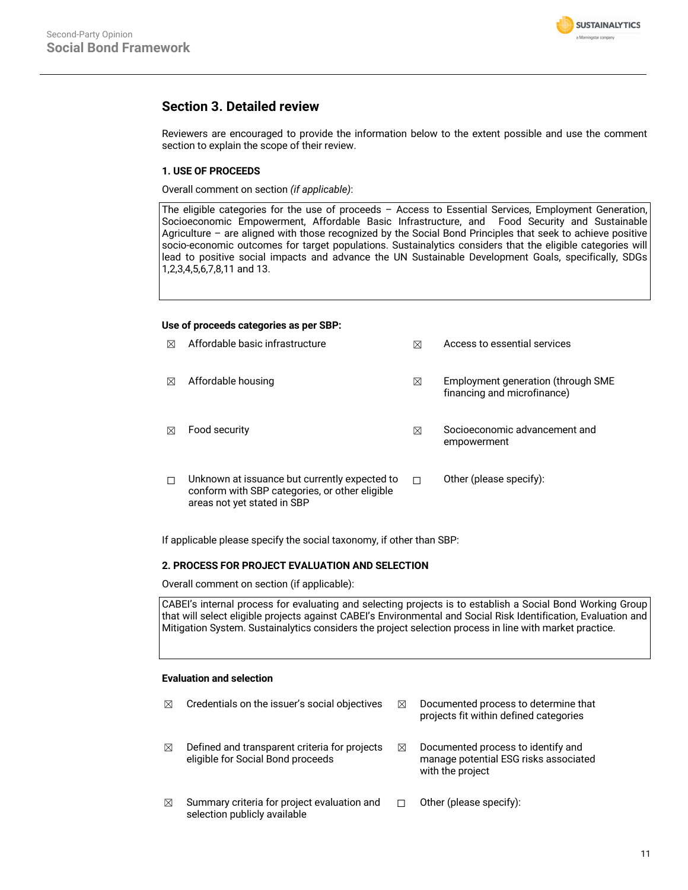

# **Section 3. Detailed review**

Reviewers are encouraged to provide the information below to the extent possible and use the comment section to explain the scope of their review.

# **1. USE OF PROCEEDS**

Overall comment on section *(if applicable)*:

The eligible categories for the use of proceeds – Access to Essential Services, Employment Generation, Socioeconomic Empowerment, Affordable Basic Infrastructure, and Food Security and Sustainable Agriculture – are aligned with those recognized by the Social Bond Principles that seek to achieve positive socio-economic outcomes for target populations. Sustainalytics considers that the eligible categories will lead to positive social impacts and advance the UN Sustainable Development Goals, specifically, SDGs 1,2,3,4,5,6,7,8,11 and 13.

# **Use of proceeds categories as per SBP:**

| $\boxtimes$ | Affordable basic infrastructure                                                                 | ⊠ | Access to essential services                                      |
|-------------|-------------------------------------------------------------------------------------------------|---|-------------------------------------------------------------------|
| $\boxtimes$ | Affordable housing                                                                              | ⊠ | Employment generation (through SME<br>financing and microfinance) |
| $\bowtie$   | Food security                                                                                   | ⊠ | Socioeconomic advancement and<br>empowerment                      |
|             | Unknown at issuance but currently expected to<br>conform with SBP categories, or other eligible | П | Other (please specify):                                           |

If applicable please specify the social taxonomy, if other than SBP:

# **2. PROCESS FOR PROJECT EVALUATION AND SELECTION**

Overall comment on section (if applicable):

areas not yet stated in SBP

CABEI's internal process for evaluating and selecting projects is to establish a Social Bond Working Group that will select eligible projects against CABEI's Environmental and Social Risk Identification, Evaluation and Mitigation System. Sustainalytics considers the project selection process in line with market practice.

# **Evaluation and selection**

| ⊠ | Credentials on the issuer's social objectives                                      | ⊠ | Documented process to determine that<br>projects fit within defined categories                  |
|---|------------------------------------------------------------------------------------|---|-------------------------------------------------------------------------------------------------|
| ⊠ | Defined and transparent criteria for projects<br>eligible for Social Bond proceeds | ⊠ | Documented process to identify and<br>manage potential ESG risks associated<br>with the project |
| ⊠ | Summary criteria for project evaluation and<br>selection publicly available        |   | Other (please specify):                                                                         |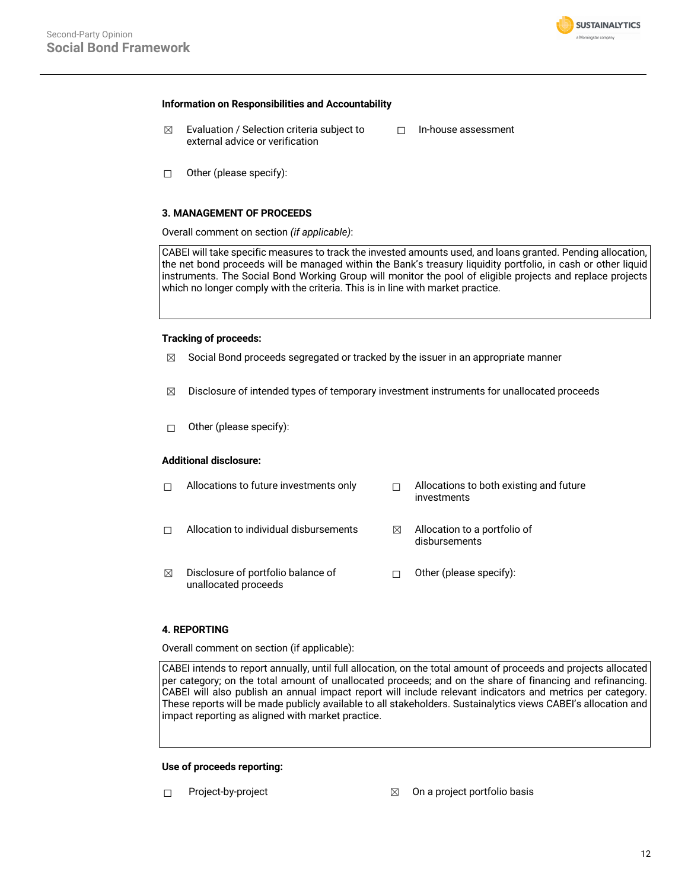

#### **Information on Responsibilities and Accountability**

- $\boxtimes$  Evaluation / Selection criteria subject to external advice or verification ☐ In-house assessment
- ☐ Other (please specify):

### **3. MANAGEMENT OF PROCEEDS**

Overall comment on section *(if applicable)*:

CABEI will take specific measures to track the invested amounts used, and loans granted. Pending allocation, the net bond proceeds will be managed within the Bank's treasury liquidity portfolio, in cash or other liquid instruments. The Social Bond Working Group will monitor the pool of eligible projects and replace projects which no longer comply with the criteria. This is in line with market practice.

#### **Tracking of proceeds:**

- $\boxtimes$  Social Bond proceeds segregated or tracked by the issuer in an appropriate manner
- $\boxtimes$  Disclosure of intended types of temporary investment instruments for unallocated proceeds
- ☐ Other (please specify):

# **Additional disclosure:**

|   | Allocations to future investments only                     |   | Allocations to both existing and future<br>investments |
|---|------------------------------------------------------------|---|--------------------------------------------------------|
|   | Allocation to individual disbursements                     | ⊠ | Allocation to a portfolio of<br>disbursements          |
| ⊠ | Disclosure of portfolio balance of<br>unallocated proceeds |   | Other (please specify):                                |

# **4. REPORTING**

Overall comment on section (if applicable):

CABEI intends to report annually, until full allocation, on the total amount of proceeds and projects allocated per category; on the total amount of unallocated proceeds; and on the share of financing and refinancing. CABEI will also publish an annual impact report will include relevant indicators and metrics per category. These reports will be made publicly available to all stakeholders. Sustainalytics views CABEI's allocation and impact reporting as aligned with market practice.

#### **Use of proceeds reporting:**

- 
- ☐ Project-by-project ☒ On a project portfolio basis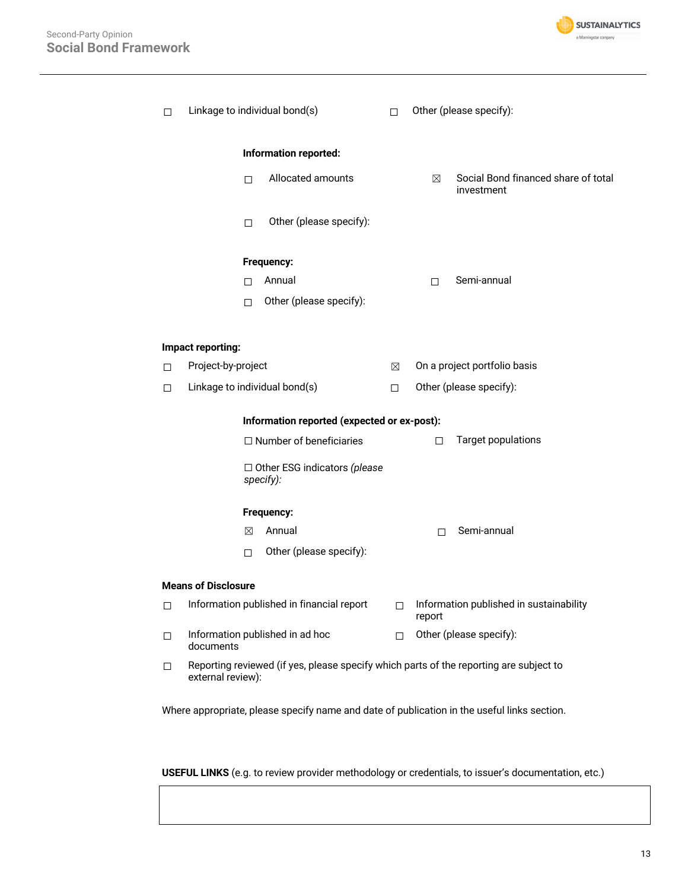

| П      | Linkage to individual bond(s)                                                                               |        |                                                                                             | П.                      |        | Other (please specify):                           |
|--------|-------------------------------------------------------------------------------------------------------------|--------|---------------------------------------------------------------------------------------------|-------------------------|--------|---------------------------------------------------|
|        | Information reported:                                                                                       |        |                                                                                             |                         |        |                                                   |
|        |                                                                                                             | П      | Allocated amounts                                                                           |                         | ⊠      | Social Bond financed share of total<br>investment |
|        |                                                                                                             | $\Box$ | Other (please specify):                                                                     |                         |        |                                                   |
|        |                                                                                                             |        | Frequency:                                                                                  |                         |        |                                                   |
|        |                                                                                                             | П      | Annual                                                                                      |                         | П      | Semi-annual                                       |
|        |                                                                                                             | П      | Other (please specify):                                                                     |                         |        |                                                   |
|        | Impact reporting:                                                                                           |        |                                                                                             |                         |        |                                                   |
| $\Box$ | Project-by-project                                                                                          |        |                                                                                             | ⊠                       |        | On a project portfolio basis                      |
| П      | Linkage to individual bond(s)                                                                               |        | П                                                                                           | Other (please specify): |        |                                                   |
|        | Information reported (expected or ex-post):                                                                 |        |                                                                                             |                         |        |                                                   |
|        | $\Box$ Number of beneficiaries                                                                              |        |                                                                                             |                         | П      | <b>Target populations</b>                         |
|        | $\Box$ Other ESG indicators (please<br>specify):                                                            |        |                                                                                             |                         |        |                                                   |
|        |                                                                                                             |        | Frequency:                                                                                  |                         |        |                                                   |
|        |                                                                                                             | ⊠      | Annual                                                                                      |                         | П      | Semi-annual                                       |
|        |                                                                                                             | П.     | Other (please specify):                                                                     |                         |        |                                                   |
|        | <b>Means of Disclosure</b>                                                                                  |        |                                                                                             |                         |        |                                                   |
| $\Box$ |                                                                                                             |        | Information published in financial report                                                   | $\Box$                  | report | Information published in sustainability           |
| $\Box$ | documents                                                                                                   |        | Information published in ad hoc                                                             | П                       |        | Other (please specify):                           |
| $\Box$ | Reporting reviewed (if yes, please specify which parts of the reporting are subject to<br>external review): |        |                                                                                             |                         |        |                                                   |
|        |                                                                                                             |        | Where appropriate, please specify name and date of publication in the useful links section. |                         |        |                                                   |

**USEFUL LINKS** (e.g. to review provider methodology or credentials, to issuer's documentation, etc.)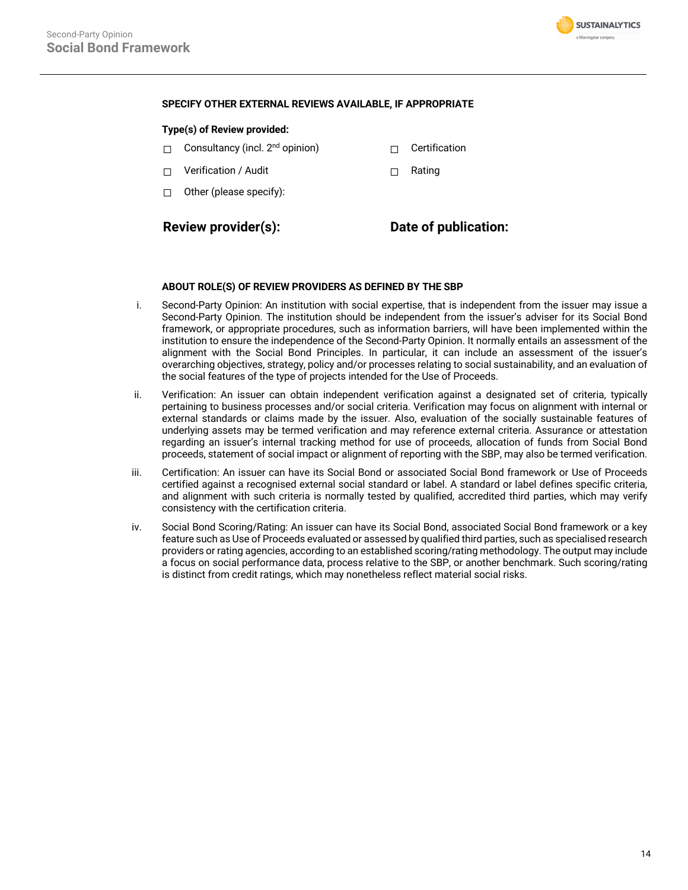

## **SPECIFY OTHER EXTERNAL REVIEWS AVAILABLE, IF APPROPRIATE**

## **Type(s) of Review provided:**

- □ Consultancy (incl. 2<sup>nd</sup> opinion) □ □ Certification
- ☐ Verification / Audit ☐ Rating
- ☐ Other (please specify):

# **Review provider(s): Date of publication:**

## **ABOUT ROLE(S) OF REVIEW PROVIDERS AS DEFINED BY THE SBP**

- i. Second-Party Opinion: An institution with social expertise, that is independent from the issuer may issue a Second-Party Opinion. The institution should be independent from the issuer's adviser for its Social Bond framework, or appropriate procedures, such as information barriers, will have been implemented within the institution to ensure the independence of the Second-Party Opinion. It normally entails an assessment of the alignment with the Social Bond Principles. In particular, it can include an assessment of the issuer's overarching objectives, strategy, policy and/or processes relating to social sustainability, and an evaluation of the social features of the type of projects intended for the Use of Proceeds.
- ii. Verification: An issuer can obtain independent verification against a designated set of criteria, typically pertaining to business processes and/or social criteria. Verification may focus on alignment with internal or external standards or claims made by the issuer. Also, evaluation of the socially sustainable features of underlying assets may be termed verification and may reference external criteria. Assurance or attestation regarding an issuer's internal tracking method for use of proceeds, allocation of funds from Social Bond proceeds, statement of social impact or alignment of reporting with the SBP, may also be termed verification.
- iii. Certification: An issuer can have its Social Bond or associated Social Bond framework or Use of Proceeds certified against a recognised external social standard or label. A standard or label defines specific criteria, and alignment with such criteria is normally tested by qualified, accredited third parties, which may verify consistency with the certification criteria.
- iv. Social Bond Scoring/Rating: An issuer can have its Social Bond, associated Social Bond framework or a key feature such as Use of Proceeds evaluated or assessed by qualified third parties, such as specialised research providers or rating agencies, according to an established scoring/rating methodology. The output may include a focus on social performance data, process relative to the SBP, or another benchmark. Such scoring/rating is distinct from credit ratings, which may nonetheless reflect material social risks.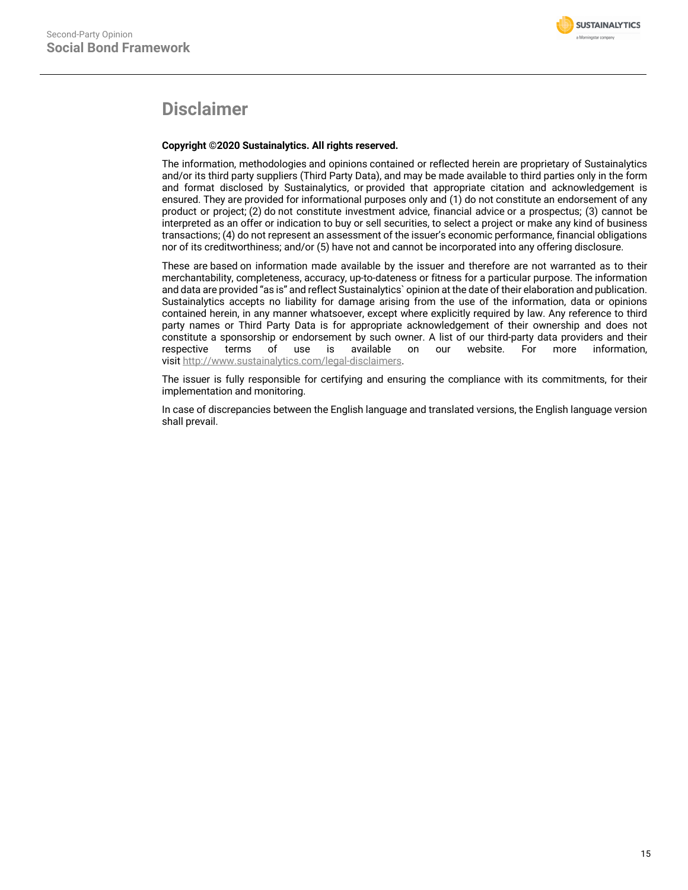# **Disclaimer**

# **Copyright ©2020 Sustainalytics. All rights reserved.**

The information, methodologies and opinions contained or reflected herein are proprietary of Sustainalytics and/or its third party suppliers (Third Party Data), and may be made available to third parties only in the form and format disclosed by Sustainalytics, or provided that appropriate citation and acknowledgement is ensured. They are provided for informational purposes only and (1) do not constitute an endorsement of any product or project; (2) do not constitute investment advice, financial advice or a prospectus; (3) cannot be interpreted as an offer or indication to buy or sell securities, to select a project or make any kind of business transactions; (4) do not represent an assessment of the issuer's economic performance, financial obligations nor of its creditworthiness; and/or (5) have not and cannot be incorporated into any offering disclosure.

These are based on information made available by the issuer and therefore are not warranted as to their merchantability, completeness, accuracy, up-to-dateness or fitness for a particular purpose. The information and data are provided "as is" and reflect Sustainalytics` opinion at the date of their elaboration and publication. Sustainalytics accepts no liability for damage arising from the use of the information, data or opinions contained herein, in any manner whatsoever, except where explicitly required by law. Any reference to third party names or Third Party Data is for appropriate acknowledgement of their ownership and does not constitute a sponsorship or endorsement by such owner. A list of our third-party data providers and their respective terms of use is available on our website. For more information, visit http://www.sustainalytics.com/legal-disclaimers.

The issuer is fully responsible for certifying and ensuring the compliance with its commitments, for their implementation and monitoring.

In case of discrepancies between the English language and translated versions, the English language version shall prevail.